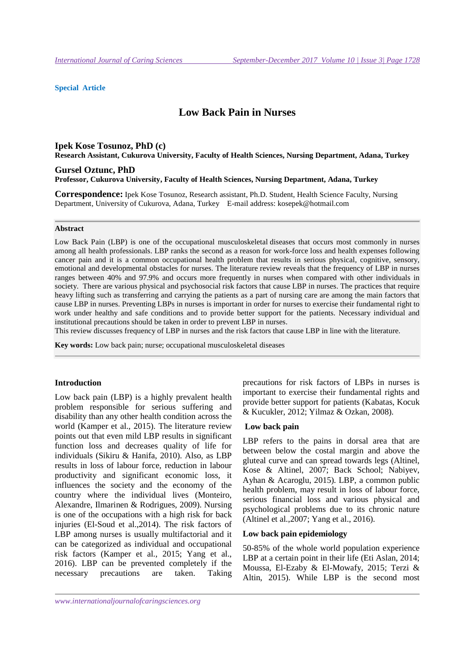### **Special Article**

# **Low Back Pain in Nurses**

### **Ipek Kose Tosunoz, PhD (c)**

**Research Assistant, Cukurova University, Faculty of Health Sciences, Nursing Department, Adana, Turkey**

#### **Gursel Oztunc, PhD Professor, Cukurova University, Faculty of Health Sciences, Nursing Department, Adana, Turkey**

**Correspondence:** Ipek Kose Tosunoz, Research assistant, Ph.D. Student, Health Science Faculty, Nursing Department, University of Cukurova, Adana, Turkey E-mail address: kosepek@hotmail.com

#### **Abstract**

Low Back Pain (LBP) is one of the occupational musculoskeletal diseases that occurs most commonly in nurses among all health professionals. LBP ranks the second as a reason for work-force loss and health expenses following cancer pain and it is a common occupational health problem that results in serious physical, cognitive, sensory, emotional and developmental obstacles for nurses. The literature review reveals that the frequency of LBP in nurses ranges between 40% and 97.9% and occurs more frequently in nurses when compared with other individuals in society. There are various physical and psychosocial risk factors that cause LBP in nurses. The practices that require heavy lifting such as transferring and carrying the patients as a part of nursing care are among the main factors that cause LBP in nurses. Preventing LBPs in nurses is important in order for nurses to exercise their fundamental right to work under healthy and safe conditions and to provide better support for the patients. Necessary individual and institutional precautions should be taken in order to prevent LBP in nurses.

This review discusses frequency of LBP in nurses and the risk factors that cause LBP in line with the literature.

**Key words:** Low back pain; nurse; occupational musculoskeletal diseases

### **Introduction**

Low back pain (LBP) is a highly prevalent health problem responsible for serious suffering and disability than any other health condition across the world (Kamper et al., 2015). The literature review points out that even mild LBP results in significant function loss and decreases quality of life for individuals (Sikiru & Hanifa, 2010). Also, as LBP results in loss of labour force, reduction in labour productivity and significant economic loss, it influences the society and the economy of the country where the individual lives (Monteiro, Alexandre, Ilmarinen & Rodrigues, 2009). Nursing is one of the occupations with a high risk for back injuries (El-Soud et al.,2014). The risk factors of LBP among nurses is usually multifactorial and it can be categorized as individual and occupational risk factors (Kamper et al., 2015; Yang et al., 2016). LBP can be prevented completely if the necessary precautions are taken. Taking

precautions for risk factors of LBPs in nurses is important to exercise their fundamental rights and provide better support for patients (Kabatas, Kocuk & Kucukler, 2012; Yilmaz & Ozkan, 2008).

#### **Low back pain**

LBP refers to the pains in dorsal area that are between below the costal margin and above the gluteal curve and can spread towards legs (Altinel, Kose & Altinel, 2007; Back School; Nabiyev, Ayhan & Acaroglu, 2015). LBP, a common public health problem, may result in loss of labour force, serious financial loss and various physical and psychological problems due to its chronic nature (Altinel et al.,2007; Yang et al., 2016).

### **Low back pain epidemiology**

50-85% of the whole world population experience LBP at a certain point in their life (Eti Aslan, 2014; Moussa, El-Ezaby & El-Mowafy, 2015; Terzi & Altin, 2015). While LBP is the second most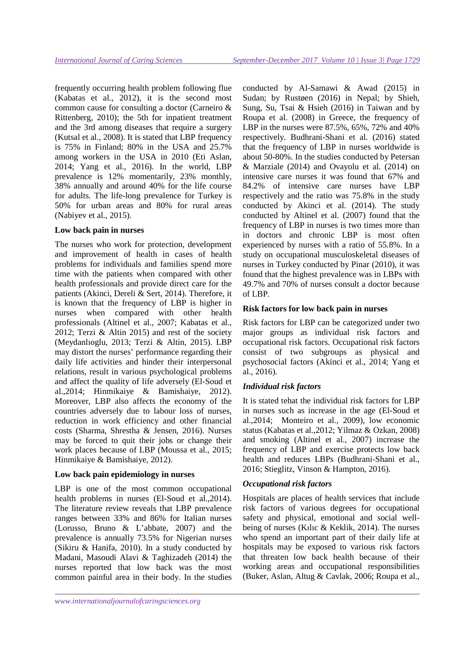frequently occurring health problem following flue (Kabatas et al., 2012), it is the second most common cause for consulting a doctor (Carneiro & Rittenberg, 2010); the 5th for inpatient treatment and the 3rd among diseases that require a surgery (Kutsal et al., 2008). It is stated that LBP frequency is 75% in Finland; 80% in the USA and 25.7% among workers in the USA in 2010 (Eti Aslan, 2014; Yang et al., 2016). In the world, LBP prevalence is 12% momentarily, 23% monthly, 38% annually and around 40% for the life course for adults. The life-long prevalence for Turkey is 50% for urban areas and 80% for rural areas (Nabiyev et al., 2015).

### **Low back pain in nurses**

The nurses who work for protection, development and improvement of health in cases of health problems for individuals and families spend more time with the patients when compared with other health professionals and provide direct care for the patients (Akinci, Dereli & Sert, 2014). Therefore, it is known that the frequency of LBP is higher in nurses when compared with other health professionals (Altinel et al., 2007; Kabatas et al., 2012; Terzi & Altin 2015) and rest of the society (Meydanlıoglu, 2013; Terzi & Altin, 2015). LBP may distort the nurses' performance regarding their daily life activities and hinder their interpersonal relations, result in various psychological problems and affect the quality of life adversely (El-Soud et al.,2014; Hinmikaiye & Bamishaiye, 2012). Moreover, LBP also affects the economy of the countries adversely due to labour loss of nurses, reduction in work efficiency and other financial costs (Sharma, Shrestha & Jensen, 2016). Nurses may be forced to quit their jobs or change their work places because of LBP (Moussa et al., 2015; Hinmikaiye & Bamishaiye, 2012).

### **Low back pain epidemiology in nurses**

LBP is one of the most common occupational health problems in nurses (El-Soud et al.,2014). The literature review reveals that LBP prevalence ranges between 33% and 86% for Italian nurses (Lorusso, Bruno & L'abbate, 2007) and the prevalence is annually 73.5% for Nigerian nurses (Sikiru & Hanifa, 2010). In a study conducted by Madani, Masoudi Alavi & Taghizadeh (2014) the nurses reported that low back was the most common painful area in their body. In the studies conducted by Al-Samawi & Awad (2015) in Sudan; by Rustøen (2016) in Nepal; by Shieh, Sung, Su, Tsai & Hsieh (2016) in Taiwan and by Roupa et al. (2008) in Greece, the frequency of LBP in the nurses were 87.5%, 65%, 72% and 40% respectively. Budhrani-Shani et al. (2016) stated that the frequency of LBP in nurses worldwide is about 50-80%. In the studies conducted by Petersan & Marziale (2014) and Ovayolu et al. (2014) on intensive care nurses it was found that 67% and 84.2% of intensive care nurses have LBP respectively and the ratio was 75.8% in the study conducted by Akinci et al. (2014). The study conducted by Altinel et al. (2007) found that the frequency of LBP in nurses is two times more than in doctors and chronic LBP is most often experienced by nurses with a ratio of 55.8%. In a study on occupational musculoskeletal diseases of nurses in Turkey conducted by Pinar (2010), it was found that the highest prevalence was in LBPs with 49.7% and 70% of nurses consult a doctor because of LBP.

### **Risk factors for low back pain in nurses**

Risk factors for LBP can be categorized under two major groups as individual risk factors and occupational risk factors. Occupational risk factors consist of two subgroups as physical and psychosocial factors (Akinci et al., 2014; Yang et al., 2016).

# *Individual risk factors*

It is stated tehat the individual risk factors for LBP in nurses such as increase in the age (El-Soud et al.,2014; Monteiro et al., 2009), low economic status (Kabatas et al.,2012; Yilmaz & Ozkan, 2008) and smoking (Altinel et al., 2007) increase the frequency of LBP and exercise protects low back health and reduces LBPs (Budhrani-Shani et al., 2016; Stieglitz, Vinson & Hampton, 2016).

### *Occupational risk factors*

Hospitals are places of health services that include risk factors of various degrees for occupational safety and physical, emotional and social wellbeing of nurses (Kılıc & Keklik, 2014). The nurses who spend an important part of their daily life at hospitals may be exposed to various risk factors that threaten low back health because of their working areas and occupational responsibilities (Buker, Aslan, Altug & Cavlak, 2006; Roupa et al.,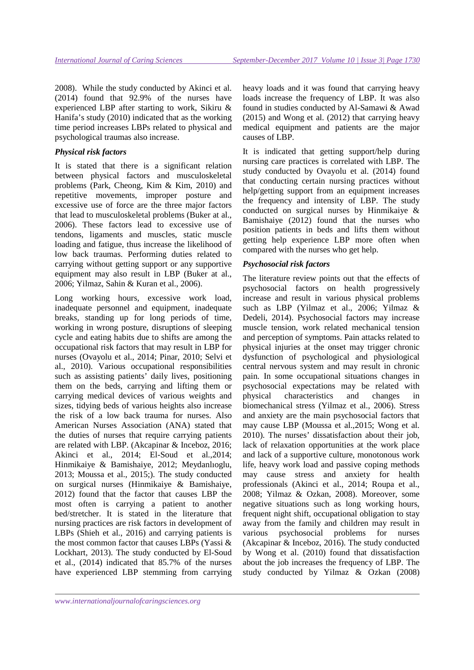2008). While the study conducted by Akinci et al. (2014) found that 92.9% of the nurses have experienced LBP after starting to work, Sikiru & Hanifa's study (2010) indicated that as the working time period increases LBPs related to physical and psychological traumas also increase.

# *Physical risk factors*

It is stated that there is a significant relation between physical factors and musculoskeletal problems (Park, Cheong, Kim & Kim, 2010) and repetitive movements, improper posture and excessive use of force are the three major factors that lead to musculoskeletal problems (Buker at al., 2006). These factors lead to excessive use of tendons, ligaments and muscles, static muscle loading and fatigue, thus increase the likelihood of low back traumas. Performing duties related to carrying without getting support or any supportive equipment may also result in LBP (Buker at al., 2006; Yilmaz, Sahin & Kuran et al., 2006).

Long working hours, excessive work load, inadequate personnel and equipment, inadequate breaks, standing up for long periods of time, working in wrong posture, disruptions of sleeping cycle and eating habits due to shifts are among the occupational risk factors that may result in LBP for nurses (Ovayolu et al., 2014; Pinar, 2010; Selvi et al., 2010). Various occupational responsibilities such as assisting patients' daily lives, positioning them on the beds, carrying and lifting them or carrying medical devices of various weights and sizes, tidying beds of various heights also increase the risk of a low back trauma for nurses. Also American Nurses Association (ANA) stated that the duties of nurses that require carrying patients are related with LBP. (Akcapinar & Inceboz, 2016; Akinci et al., 2014; El-Soud et al.,2014; Hinmikaiye & Bamishaiye, 2012; Meydanlıoglu, 2013; Moussa et al., 2015;). The study conducted on surgical nurses (Hinmikaiye & Bamishaiye, 2012) found that the factor that causes LBP the most often is carrying a patient to another bed/stretcher. It is stated in the literature that nursing practices are risk factors in development of LBPs (Shieh et al., 2016) and carrying patients is the most common factor that causes LBPs (Yassi & Lockhart, 2013). The study conducted by El-Soud et al., (2014) indicated that 85.7% of the nurses have experienced LBP stemming from carrying

heavy loads and it was found that carrying heavy loads increase the frequency of LBP. It was also found in studies conducted by Al-Samawi & Awad (2015) and Wong et al. (2012) that carrying heavy medical equipment and patients are the major causes of LBP.

It is indicated that getting support/help during nursing care practices is correlated with LBP. The study conducted by Ovayolu et al. (2014) found that conducting certain nursing practices without help/getting support from an equipment increases the frequency and intensity of LBP. The study conducted on surgical nurses by Hinmikaiye & Bamishaiye (2012) found that the nurses who position patients in beds and lifts them without getting help experience LBP more often when compared with the nurses who get help.

# *Psychosocial risk factors*

The literature review points out that the effects of psychosocial factors on health progressively increase and result in various physical problems such as LBP (Yilmaz et al., 2006; Yilmaz & Dedeli, 2014). Psychosocial factors may increase muscle tension, work related mechanical tension and perception of symptoms. Pain attacks related to physical injuries at the onset may trigger chronic dysfunction of psychological and physiological central nervous system and may result in chronic pain. In some occupational situations changes in psychosocial expectations may be related with physical characteristics and changes in biomechanical stress (Yilmaz et al., 2006). Stress and anxiety are the main psychosocial factors that may cause LBP (Moussa et al.,2015; Wong et al. 2010). The nurses' dissatisfaction about their job, lack of relaxation opportunities at the work place and lack of a supportive culture, monotonous work life, heavy work load and passive coping methods may cause stress and anxiety for health professionals (Akinci et al., 2014; Roupa et al., 2008; Yilmaz & Ozkan, 2008). Moreover, some negative situations such as long working hours, frequent night shift, occupational obligation to stay away from the family and children may result in various psychosocial problems for nurses (Akcapinar & Inceboz, 2016). The study conducted by Wong et al. (2010) found that dissatisfaction about the job increases the frequency of LBP. The study conducted by Yilmaz & Ozkan (2008)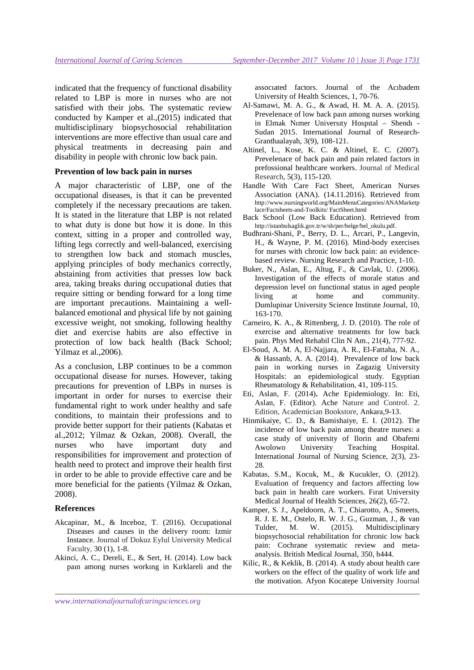indicated that the frequency of functional disability related to LBP is more in nurses who are not satisfied with their jobs. The systematic review conducted by Kamper et al.,(2015) indicated that multidisciplinary biopsychosocial rehabilitation interventions are more effective than usual care and physical treatments in decreasing pain and disability in people with chronic low back pain.

### **Prevention of low back pain in nurses**

A major characteristic of LBP, one of the occupational diseases, is that it can be prevented completely if the necessary precautions are taken. It is stated in the literature that LBP is not related to what duty is done but how it is done. In this context, sitting in a proper and controlled way, lifting legs correctly and well-balanced, exercising to strengthen low back and stomach muscles, applying principles of body mechanics correctly, abstaining from activities that presses low back area, taking breaks during occupational duties that require sitting or bending forward for a long time are important precautions. Maintaining a wellbalanced emotional and physical life by not gaining excessive weight, not smoking, following healthy diet and exercise habits are also effective in protection of low back health (Back School; Yilmaz et al.,2006).

As a conclusion, LBP continues to be a common occupational disease for nurses. However, taking precautions for prevention of LBPs in nurses is important in order for nurses to exercise their fundamental right to work under healthy and safe conditions, to maintain their professions and to provide better support for their patients (Kabatas et al.,2012; Yilmaz & Ozkan, 2008). Overall, the nurses who have important duty and responsibilities for improvement and protection of health need to protect and improve their health first in order to be able to provide effective care and be more beneficial for the patients (Yilmaz & Ozkan, 2008).

#### **References**

- Akcapinar, M., & Inceboz, T. (2016). Occupational Diseases and causes in the delivery room: Izmir Instance. Journal of Dokuz Eylul University Medical Faculty, 30 (1), 1-8.
- Akinci, A. C., Dereli, E., & Sert, H. (2014). Low back paın among nurses workıng in Kırklareli and the

assocıated factors. Journal of the Acıbadem University of Health Sciences, 1, 70-76.

- Al-Samawi, M. A. G., & Awad, H. M. A. A. (2015). Prevelenace of low back paın among nurses working in Elmak Nımer Universıty Hospıtal – Shendı - Sudan 2015. International Journal of Research-Granthaalayah, 3(9), 108-121.
- Altinel, L., Kose, K. C. & Altinel, E. C. (2007). Prevelenace of back pain and pain related factors in prefossional healthcare workers. Journal of Medical Research, 5(3), 115-120.
- Handle With Care Fact Sheet, American Nurses Association (ANA). (14.11.2016). Retrieved from http://www.nursingworld.org/MainMenuCategories/ANAMarketp lace/Factsheets-and-Toolkits/ FactSheet.html
- Back School (Low Back Education). Retrieved from http://istanbulsaglik.gov.tr/w/sb/per/belge/bel\_okulu.pdf.
- Budhrani-Shani, P., Berry, D. L., Arcari, P., Langevin, H., & Wayne, P. M. (2016). Mind-body exercises for nurses with chronic low back pain: an evidencebased review. Nursing Research and Practice, 1-10.
- Buker, N., Aslan, E., Altug, F., & Cavlak, U. (2006). Investigation of the effects of morale status and depression level on functional status in aged people living at home and community. Dumlupinar University Science Institute Journal, 10, 163-170.
- Carneiro, K. A., & Rittenberg, J. D. (2010). The role of exercise and alternative treatments for low back pain. Phys Med Rehabil Clin N Am., 21(4), 777-92.
- El-Soud, A. M. A, El-Najjara, A. R., El-Fattaha, N. A., & Hassanb, A. A. (2014). Prevalence of low back pain in working nurses in Zagazig University Hospitals: an epidemiological study. Egyptian Rheumatology & Rehabilitation, 41, 109-115.
- Eti, Aslan, F. (2014)**.** Ache Epidemiology. In: Eti, Aslan, F. (Editor). Ache Nature and Control. 2. Edition, Academician Bookstore, Ankara,9-13.
- Hinmikaiye, C. D., & Bamishaiye, E. I. (2012). The incidence of low back pain among theatre nurses: a case study of university of Ilorin and Obafemi Awolowo University Teaching Hospital. International Journal of Nursing Science, 2(3), 23- 28.
- Kabatas, S.M., Kocuk, M., & Kucukler, O. (2012). Evaluation of frequency and factors affecting low back pain in health care workers. Fırat University Medical Journal of Health Sciences, 26(2), 65-72.
- Kamper, S. J., Apeldoorn, A. T., Chiarotto, A., Smeets, R. J. E. M., Ostelo, R. W. J. G., Guzman, J., & van Tulder, M. W. (2015). Multidisciplinary biopsychosocial rehabilitation for chronic low back pain: Cochrane systematic review and metaanalysis. British Medical Journal, 350, h444.
- Kilic, R., & Keklik, B. (2014). A study about health care workers on the effect of the quality of work life and the motivation. Afyon Kocatepe University Journal